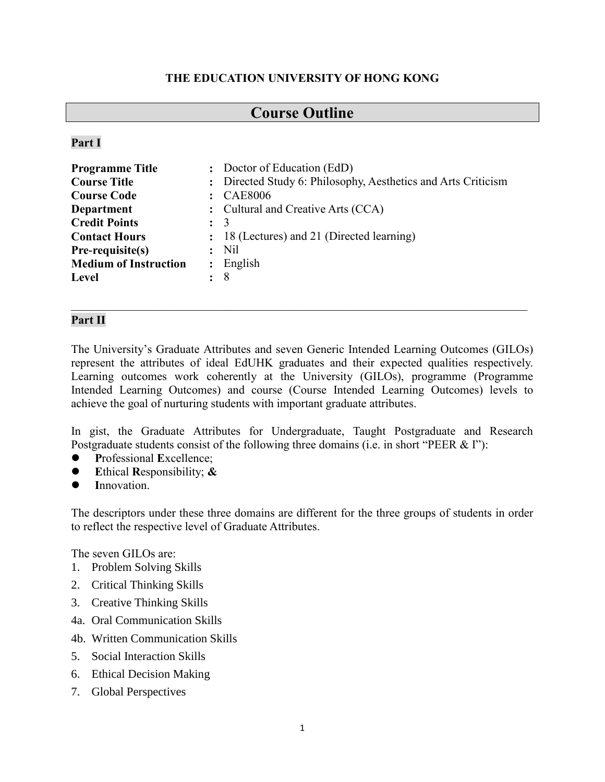## **THE EDUCATION UNIVERSITY OF HONG KONG**

# **Course Outline**

**Part I**

| <b>Programme Title</b>       |                      | : Doctor of Education (EdD)                                   |
|------------------------------|----------------------|---------------------------------------------------------------|
| <b>Course Title</b>          |                      | : Directed Study 6: Philosophy, Aesthetics and Arts Criticism |
| <b>Course Code</b>           |                      | : CAE8006                                                     |
| Department                   |                      | : Cultural and Creative Arts (CCA)                            |
| <b>Credit Points</b>         | $\colon$ 3           |                                                               |
| <b>Contact Hours</b>         |                      | : 18 (Lectures) and 21 (Directed learning)                    |
| Pre-requisite(s)             |                      | $:$ Nil                                                       |
| <b>Medium of Instruction</b> | $\ddot{\phantom{a}}$ | English                                                       |
| <b>Level</b>                 | $\colon$ 8           |                                                               |

## **Part II**

The University's Graduate Attributes and seven Generic Intended Learning Outcomes (GILOs) represent the attributes of ideal EdUHK graduates and their expected qualities respectively. Learning outcomes work coherently at the University (GILOs), programme (Programme Intended Learning Outcomes) and course (Course Intended Learning Outcomes) levels to achieve the goal of nurturing students with important graduate attributes.

In gist, the Graduate Attributes for Undergraduate, Taught Postgraduate and Research Postgraduate students consist of the following three domains (i.e. in short "PEER & I"):

- **P**rofessional **E**xcellence;
- **E**thical **R**esponsibility; **&**
- **I**nnovation.

The descriptors under these three domains are different for the three groups of students in order to reflect the respective level of Graduate Attributes.

The seven GILOs are:

- 1. Problem Solving Skills
- 2. Critical Thinking Skills
- 3. Creative Thinking Skills
- 4a. Oral Communication Skills
- 4b. Written Communication Skills
- 5. Social Interaction Skills
- 6. Ethical Decision Making
- 7. Global Perspectives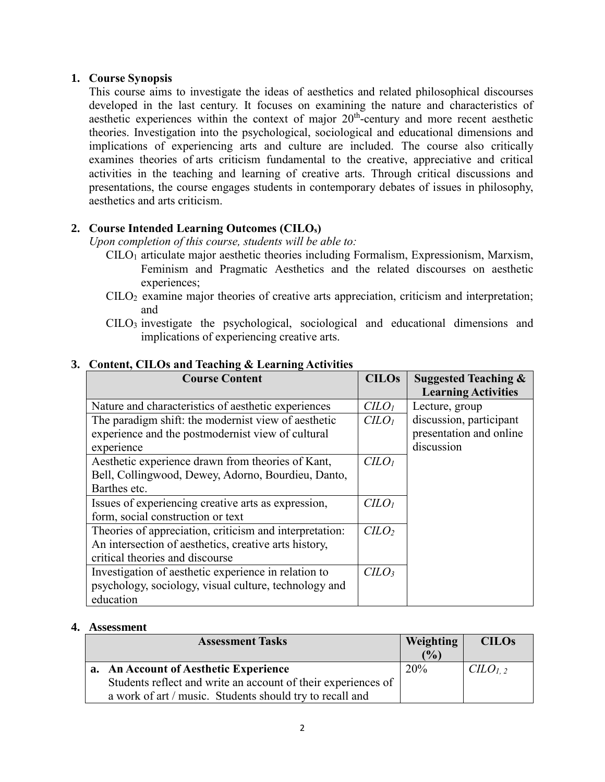## **1. Course Synopsis**

This course aims to investigate the ideas of aesthetics and related philosophical discourses developed in the last century. It focuses on examining the nature and characteristics of aesthetic experiences within the context of major  $20<sup>th</sup>$ -century and more recent aesthetic theories. Investigation into the psychological, sociological and educational dimensions and implications of experiencing arts and culture are included. The course also critically examines theories of arts criticism fundamental to the creative, appreciative and critical activities in the teaching and learning of creative arts. Through critical discussions and presentations, the course engages students in contemporary debates of issues in philosophy, aesthetics and arts criticism.

## **2. Course Intended Learning Outcomes (CILOs)**

*Upon completion of this course, students will be able to:*

- CILO<sup>1</sup> articulate major aesthetic theories including Formalism, Expressionism, Marxism, Feminism and Pragmatic Aesthetics and the related discourses on aesthetic experiences;
- CILO<sup>2</sup> examine major theories of creative arts appreciation, criticism and interpretation; and
- CILO<sup>3</sup> investigate the psychological, sociological and educational dimensions and implications of experiencing creative arts.

| <b>Course Content</b>                                   | <b>CILOs</b>                | <b>Suggested Teaching &amp;</b><br><b>Learning Activities</b> |
|---------------------------------------------------------|-----------------------------|---------------------------------------------------------------|
| Nature and characteristics of aesthetic experiences     | C <sub>LO<sub>l</sub></sub> | Lecture, group                                                |
| The paradigm shift: the modernist view of aesthetic     | C <sub>LO<sub>l</sub></sub> | discussion, participant                                       |
| experience and the postmodernist view of cultural       |                             | presentation and online                                       |
| experience                                              |                             | discussion                                                    |
| Aesthetic experience drawn from theories of Kant,       | C <sub>LO<sub>l</sub></sub> |                                                               |
| Bell, Collingwood, Dewey, Adorno, Bourdieu, Danto,      |                             |                                                               |
| Barthes etc.                                            |                             |                                                               |
| Issues of experiencing creative arts as expression,     | C <sub>LO<sub>l</sub></sub> |                                                               |
| form, social construction or text                       |                             |                                                               |
| Theories of appreciation, criticism and interpretation: | C <sub>LO</sub>             |                                                               |
| An intersection of aesthetics, creative arts history,   |                             |                                                               |
| critical theories and discourse                         |                             |                                                               |
| Investigation of aesthetic experience in relation to    |                             |                                                               |
| psychology, sociology, visual culture, technology and   |                             |                                                               |
| education                                               |                             |                                                               |

## **3. Content, CILOs and Teaching & Learning Activities**

#### **4. Assessment**

| <b>Assessment Tasks</b> |                                                               | Weighting  | <b>CILOs</b> |
|-------------------------|---------------------------------------------------------------|------------|--------------|
|                         |                                                               | (%)        |              |
|                         | a. An Account of Aesthetic Experience                         | <b>20%</b> | $CLLO_{1,2}$ |
|                         | Students reflect and write an account of their experiences of |            |              |
|                         | a work of art / music. Students should try to recall and      |            |              |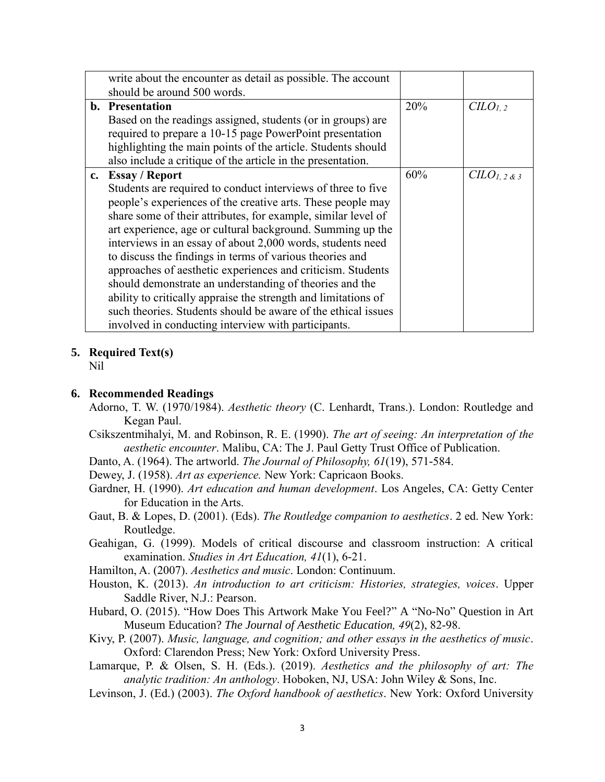| write about the encounter as detail as possible. The account   |     |                    |
|----------------------------------------------------------------|-----|--------------------|
| should be around 500 words.                                    |     |                    |
| <b>b.</b> Presentation                                         | 20% | CLO <sub>1,2</sub> |
| Based on the readings assigned, students (or in groups) are    |     |                    |
| required to prepare a 10-15 page PowerPoint presentation       |     |                    |
| highlighting the main points of the article. Students should   |     |                    |
| also include a critique of the article in the presentation.    |     |                    |
| c. Essay / Report                                              | 60% | $CLO_{1,2}$ & 3    |
| Students are required to conduct interviews of three to five   |     |                    |
| people's experiences of the creative arts. These people may    |     |                    |
| share some of their attributes, for example, similar level of  |     |                    |
| art experience, age or cultural background. Summing up the     |     |                    |
| interviews in an essay of about 2,000 words, students need     |     |                    |
| to discuss the findings in terms of various theories and       |     |                    |
| approaches of aesthetic experiences and criticism. Students    |     |                    |
| should demonstrate an understanding of theories and the        |     |                    |
| ability to critically appraise the strength and limitations of |     |                    |
| such theories. Students should be aware of the ethical issues  |     |                    |
| involved in conducting interview with participants.            |     |                    |

## **5. Required Text(s)**

Nil

## **6. Recommended Readings**

- Adorno, T. W. (1970/1984). *Aesthetic theory* (C. Lenhardt, Trans.). London: Routledge and Kegan Paul.
- Csikszentmihalyi, M. and Robinson, R. E. (1990). *The art of seeing: An interpretation of the aesthetic encounter*. Malibu, CA: The J. Paul Getty Trust Office of Publication.
- Danto, A. (1964). The artworld. *The Journal of Philosophy, 61*(19), 571-584.
- Dewey, J. (1958). *Art as experience.* New York: Capricaon Books.
- Gardner, H. (1990). *Art education and human development*. Los Angeles, CA: Getty Center for Education in the Arts.
- Gaut, B. & Lopes, D. (2001). (Eds). *The Routledge companion to aesthetics*. 2 ed. New York: Routledge.
- Geahigan, G. (1999). Models of critical discourse and classroom instruction: A critical examination. *Studies in Art Education, 41*(1), 6-21.
- Hamilton, A. (2007). *Aesthetics and music*. London: Continuum.
- Houston, K. (2013). *An introduction to art criticism: Histories, strategies, voices*. Upper Saddle River, N.J.: Pearson.
- Hubard, O. (2015). "How Does This Artwork Make You Feel?" A "No-No" Question in Art Museum Education? *The Journal of Aesthetic Education, 49*(2), 82-98.
- Kivy, P. (2007). *Music, language, and cognition; and other essays in the aesthetics of music*. Oxford: Clarendon Press; New York: Oxford University Press.
- Lamarque, P. & Olsen, S. H. (Eds.). (2019). *Aesthetics and the philosophy of art: The analytic tradition: An anthology*. Hoboken, NJ, USA: John Wiley & Sons, Inc.
- Levinson, J. (Ed.) (2003). *The Oxford handbook of aesthetics*. New York: Oxford University